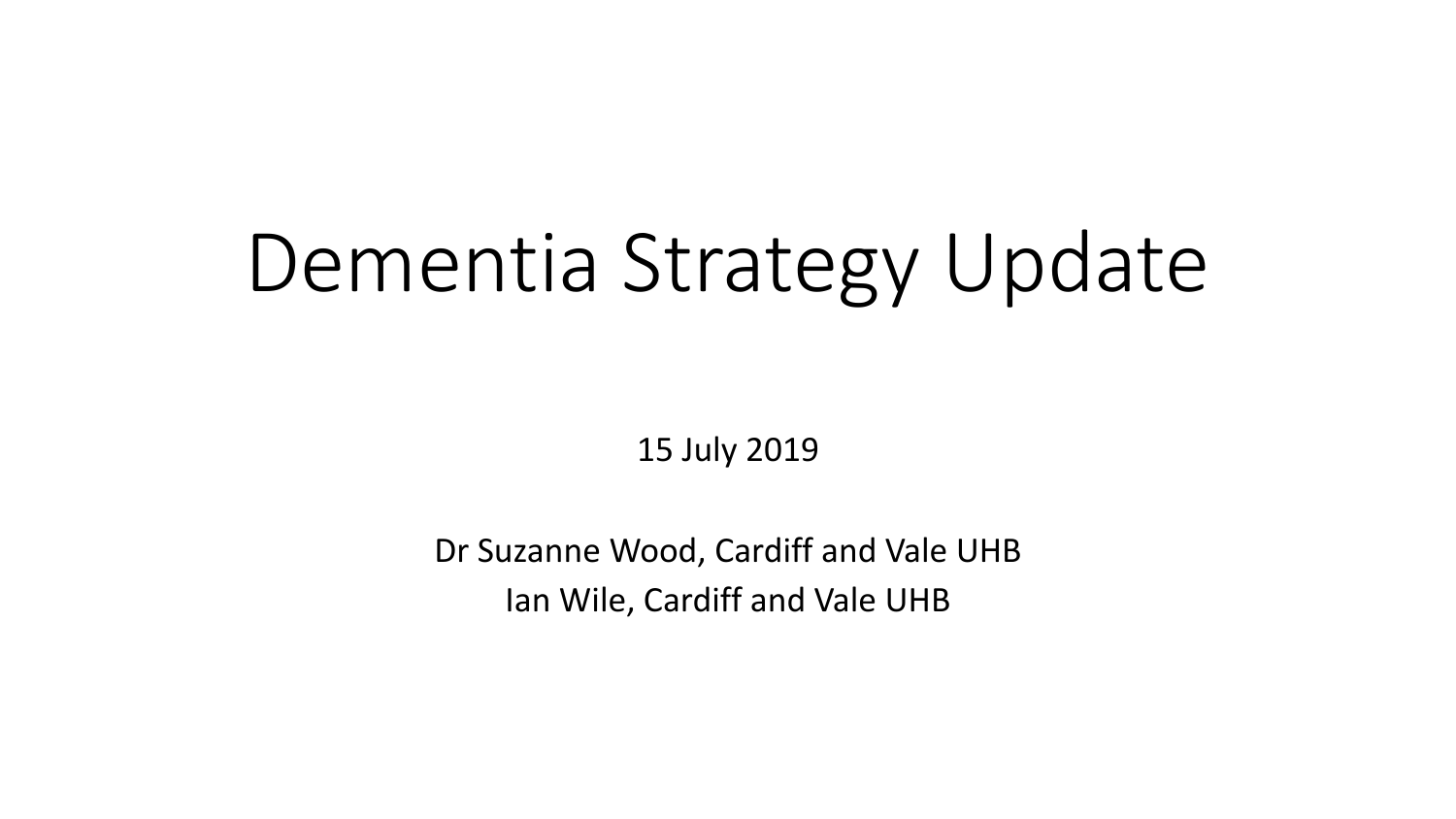# Dementia Strategy Update

15 July 2019

Dr Suzanne Wood, Cardiff and Vale UHB Ian Wile, Cardiff and Vale UHB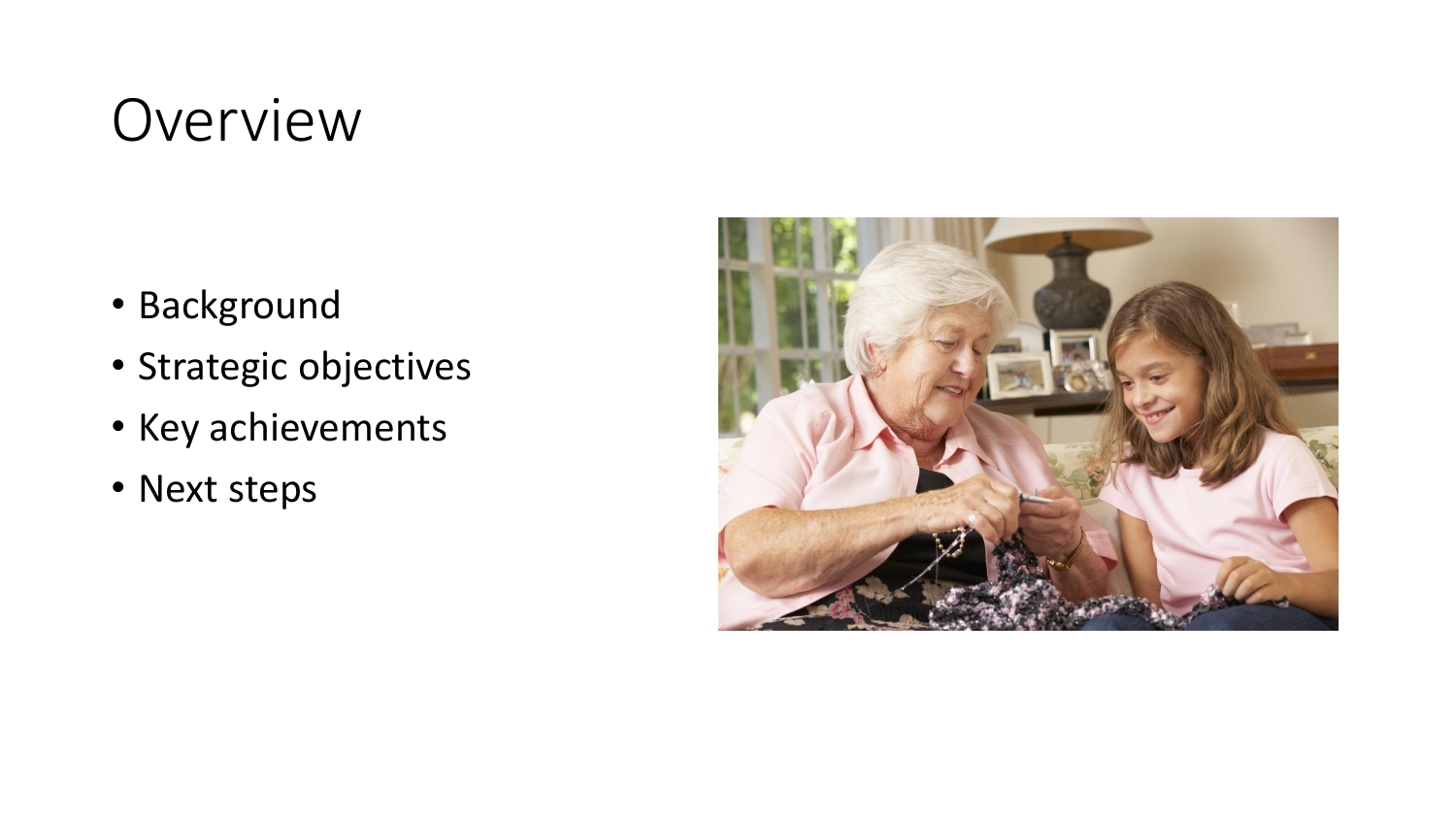### Overview

- Background
- Strategic objectives
- Key achievements
- Next steps

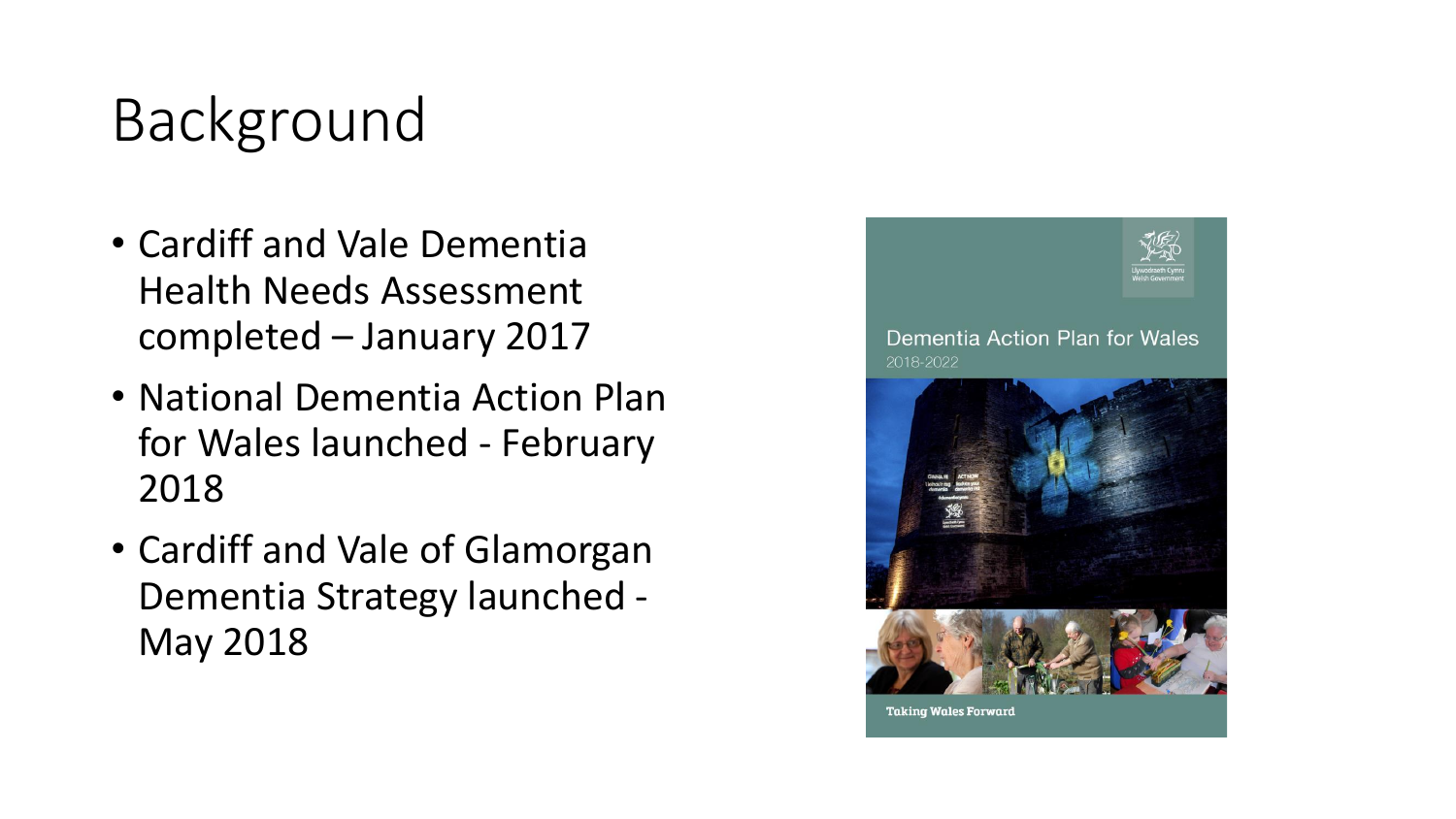### Background

- Cardiff and Vale Dementia Health Needs Assessment completed – January 2017
- National Dementia Action Plan for Wales launched - February 2018
- Cardiff and Vale of Glamorgan Dementia Strategy launched - May 2018

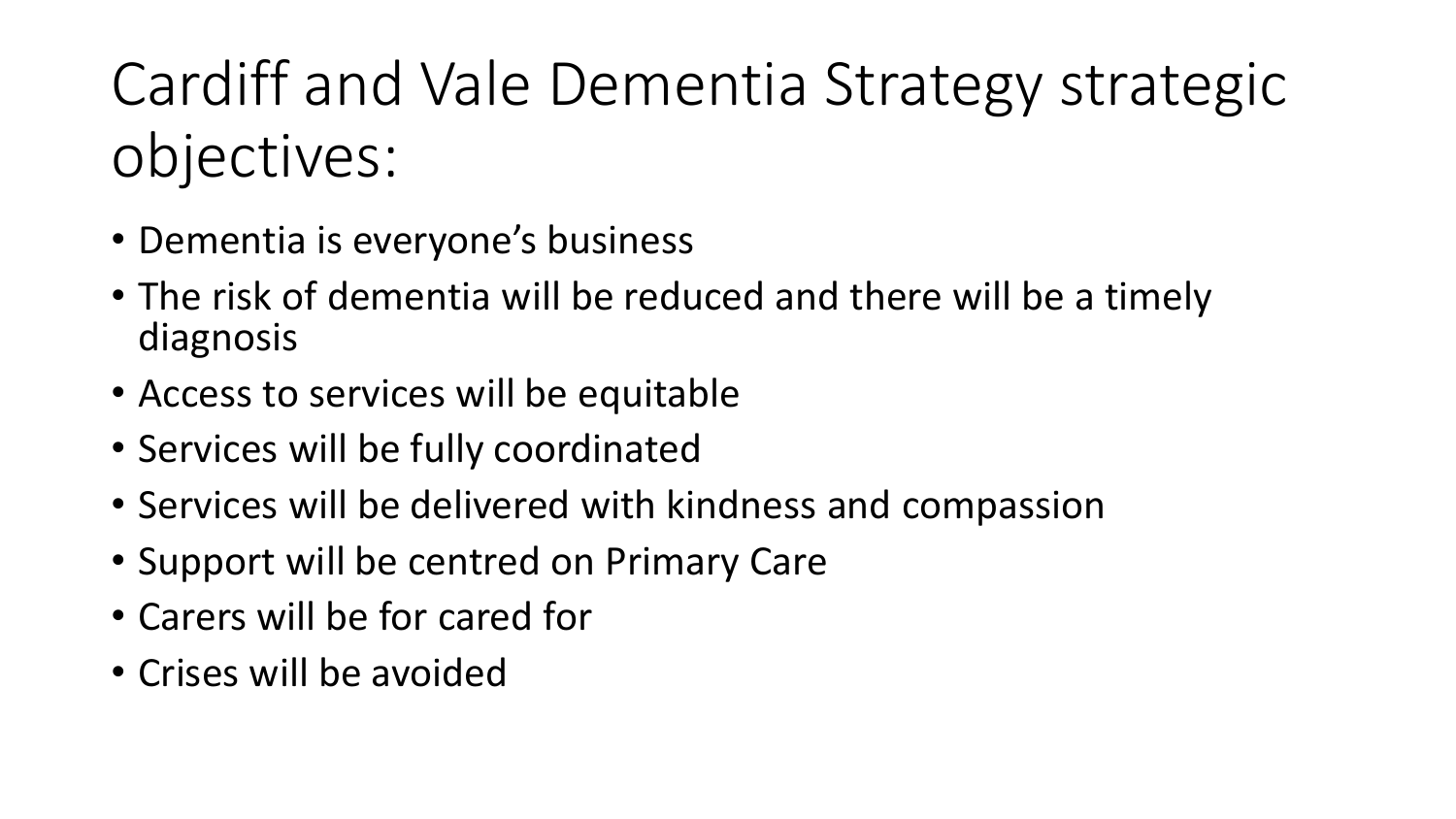## Cardiff and Vale Dementia Strategy strategic objectives:

- Dementia is everyone's business
- The risk of dementia will be reduced and there will be a timely diagnosis
- Access to services will be equitable
- Services will be fully coordinated
- Services will be delivered with kindness and compassion
- Support will be centred on Primary Care
- Carers will be for cared for
- Crises will be avoided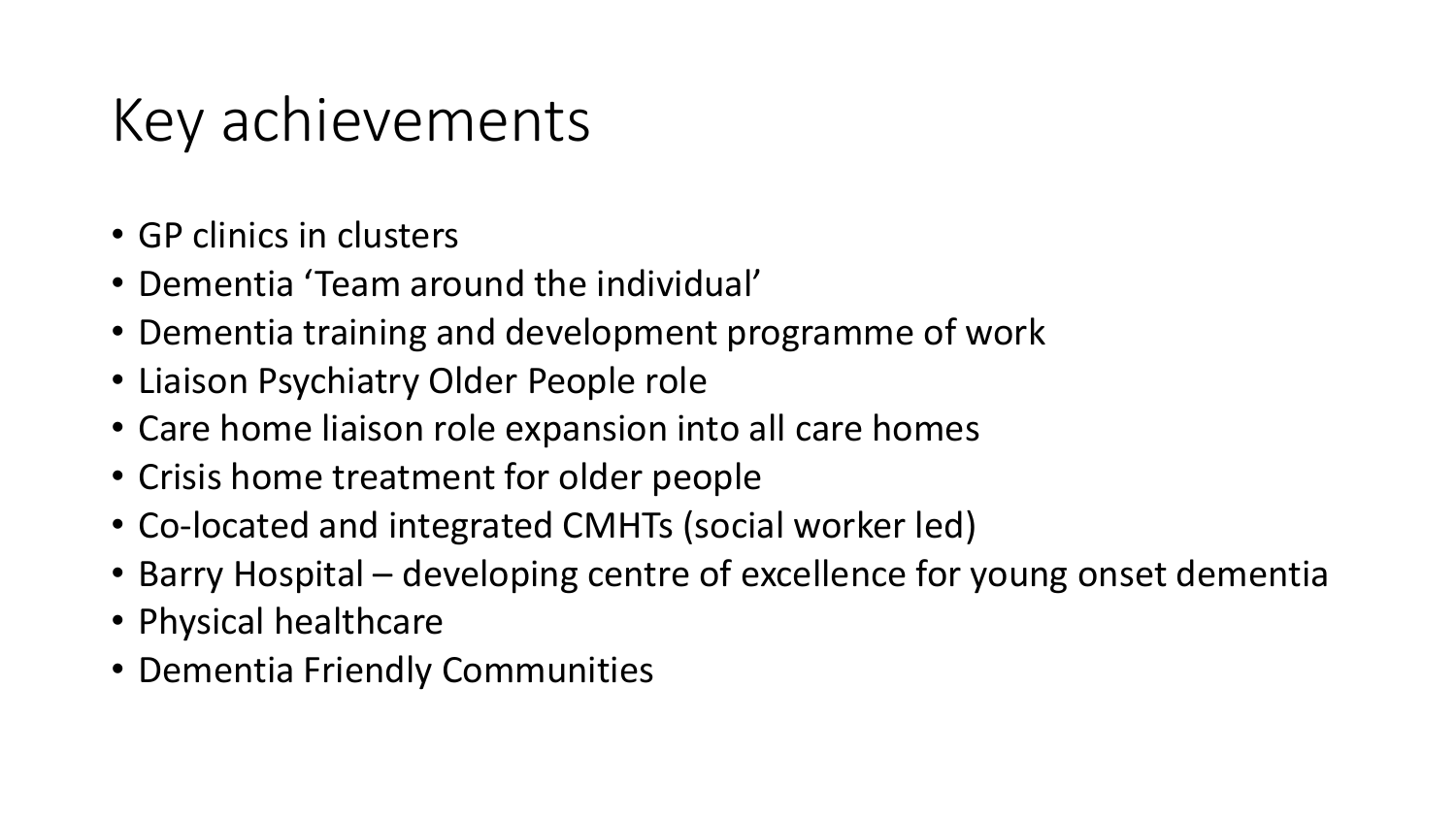### Key achievements

- GP clinics in clusters
- Dementia 'Team around the individual'
- Dementia training and development programme of work
- Liaison Psychiatry Older People role
- Care home liaison role expansion into all care homes
- Crisis home treatment for older people
- Co-located and integrated CMHTs (social worker led)
- Barry Hospital developing centre of excellence for young onset dementia
- Physical healthcare
- Dementia Friendly Communities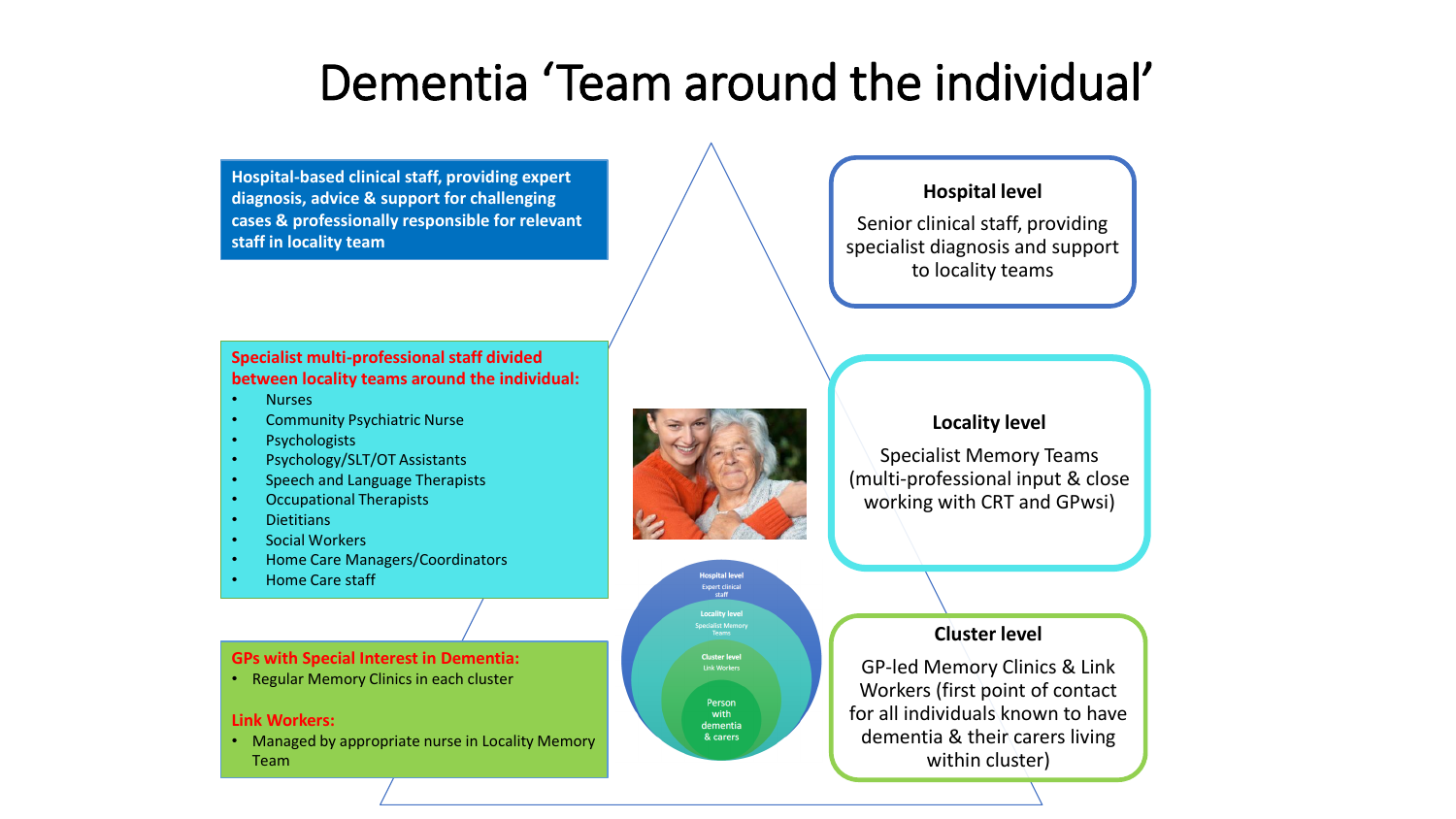### Dementia 'Team around the individual'

**Hospital-based clinical staff, providing expert diagnosis, advice & support for challenging cases & professionally responsible for relevant staff in locality team**

**Specialist multi-professional staff divided between locality teams around the individual:**

- Nurses
- Community Psychiatric Nurse
- **Psychologists**
- Psychology/SLT/OT Assistants
- Speech and Language Therapists
- Occupational Therapists
- Dietitians
- Social Workers
- Home Care Managers/Coordinators
- Home Care staff

#### **GPs with Special Interest in Dementia:**

• Regular Memory Clinics in each cluster

#### **Link Workers:**

• Managed by appropriate nurse in Locality Memory Team





#### **Hospital level**

Senior clinical staff, providing specialist diagnosis and support to locality teams

#### **Locality level**

Specialist Memory Teams (multi-professional input & close working with CRT and GPwsi)

#### **Cluster level**

GP-led Memory Clinics & Link Workers (first point of contact for all individuals known to have dementia & their carers living within cluster)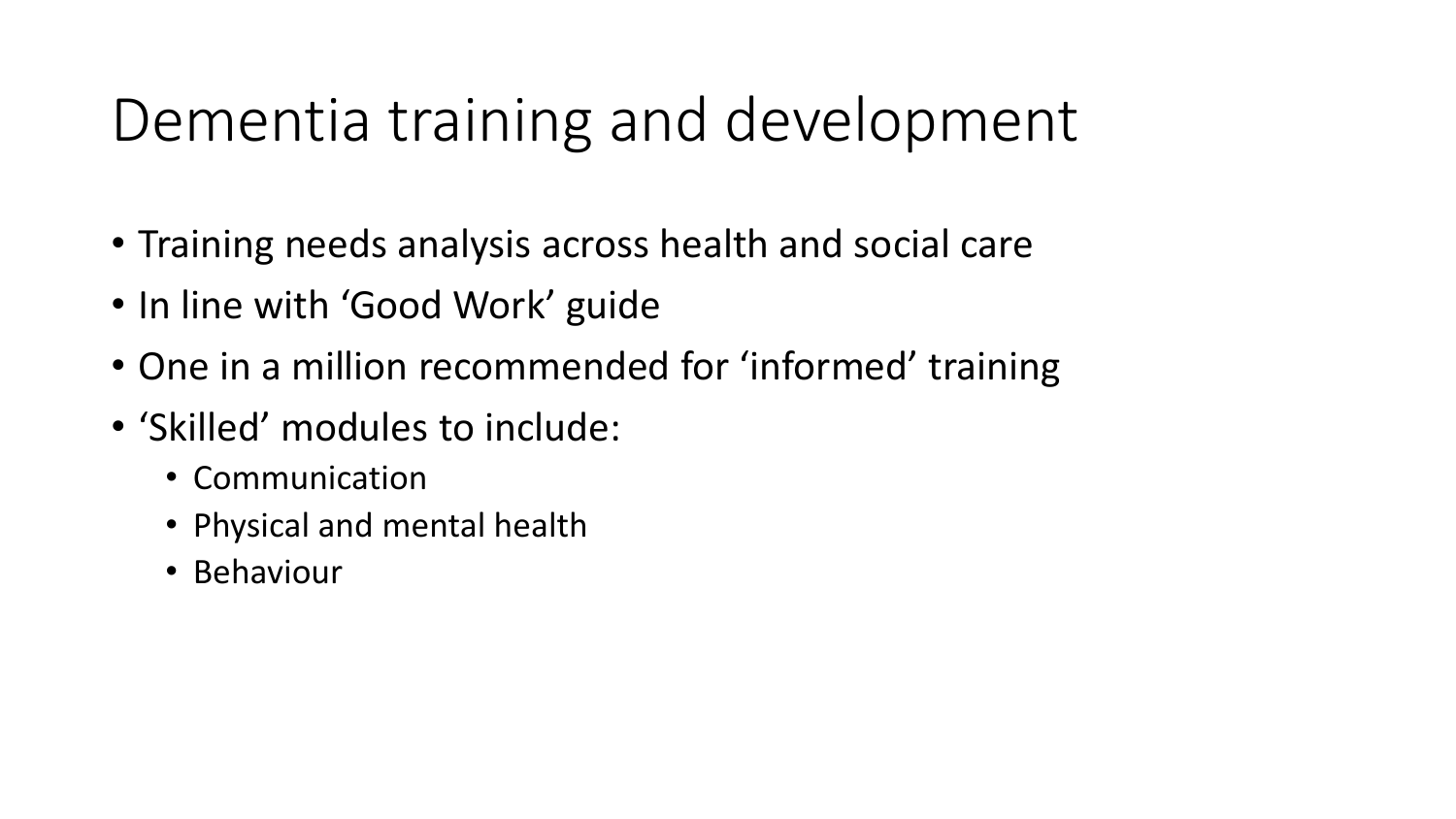### Dementia training and development

- Training needs analysis across health and social care
- In line with 'Good Work' guide
- One in a million recommended for 'informed' training
- 'Skilled' modules to include:
	- Communication
	- Physical and mental health
	- Behaviour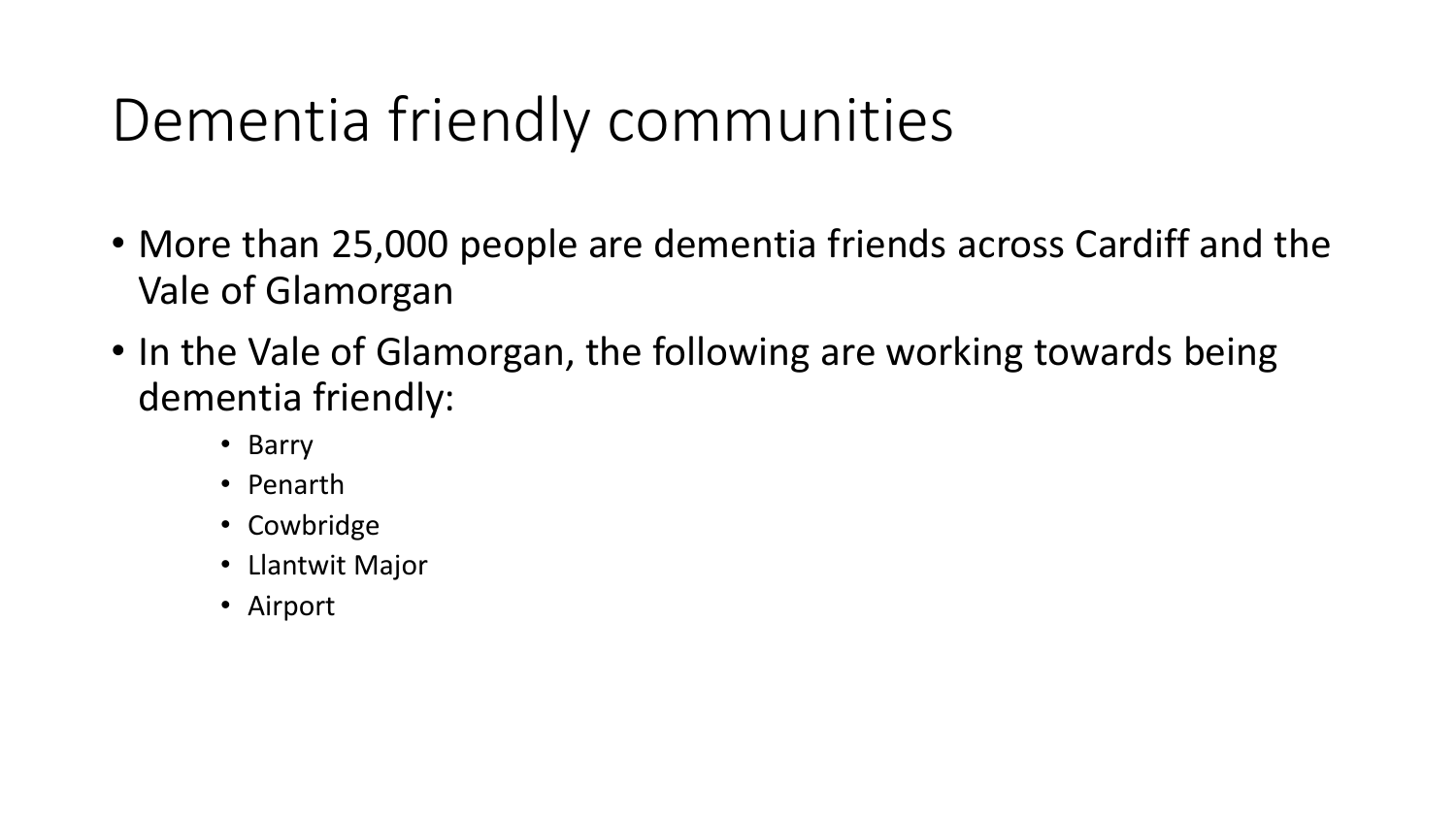### Dementia friendly communities

- More than 25,000 people are dementia friends across Cardiff and the Vale of Glamorgan
- In the Vale of Glamorgan, the following are working towards being dementia friendly:
	- Barry
	- Penarth
	- Cowbridge
	- Llantwit Major
	- Airport